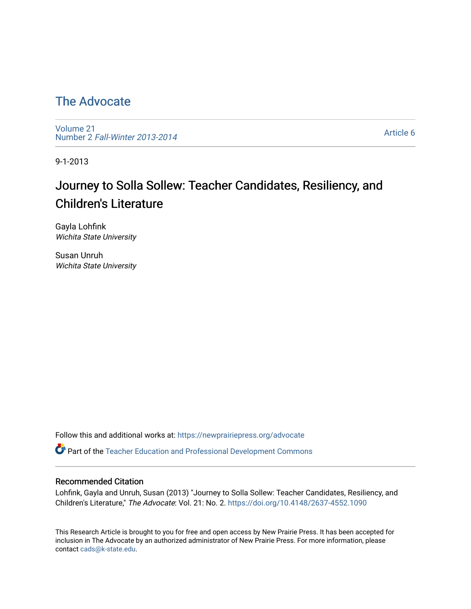## [The Advocate](https://newprairiepress.org/advocate)

[Volume 21](https://newprairiepress.org/advocate/vol21) Number 2 [Fall-Winter 2013-2014](https://newprairiepress.org/advocate/vol21/iss2) 

[Article 6](https://newprairiepress.org/advocate/vol21/iss2/6) 

9-1-2013

# Journey to Solla Sollew: Teacher Candidates, Resiliency, and Children's Literature

Gayla Lohfink Wichita State University

Susan Unruh Wichita State University

Follow this and additional works at: [https://newprairiepress.org/advocate](https://newprairiepress.org/advocate?utm_source=newprairiepress.org%2Fadvocate%2Fvol21%2Fiss2%2F6&utm_medium=PDF&utm_campaign=PDFCoverPages) 

Part of the [Teacher Education and Professional Development Commons](http://network.bepress.com/hgg/discipline/803?utm_source=newprairiepress.org%2Fadvocate%2Fvol21%2Fiss2%2F6&utm_medium=PDF&utm_campaign=PDFCoverPages) 

#### Recommended Citation

Lohfink, Gayla and Unruh, Susan (2013) "Journey to Solla Sollew: Teacher Candidates, Resiliency, and Children's Literature," The Advocate: Vol. 21: No. 2.<https://doi.org/10.4148/2637-4552.1090>

This Research Article is brought to you for free and open access by New Prairie Press. It has been accepted for inclusion in The Advocate by an authorized administrator of New Prairie Press. For more information, please contact [cads@k-state.edu](mailto:cads@k-state.edu).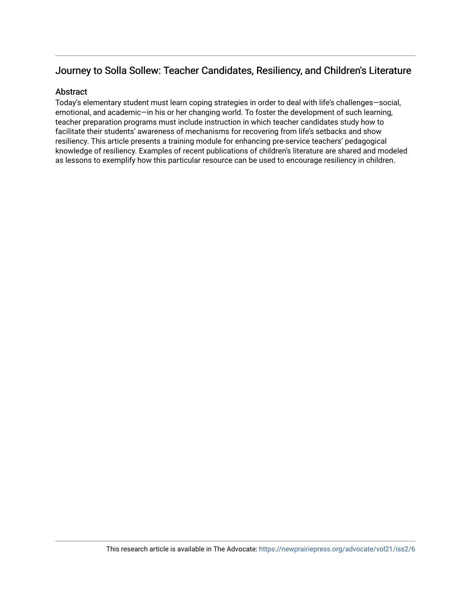## Journey to Solla Sollew: Teacher Candidates, Resiliency, and Children's Literature

#### **Abstract**

Today's elementary student must learn coping strategies in order to deal with life's challenges—social, emotional, and academic—in his or her changing world. To foster the development of such learning, teacher preparation programs must include instruction in which teacher candidates study how to facilitate their students' awareness of mechanisms for recovering from life's setbacks and show resiliency. This article presents a training module for enhancing pre-service teachers' pedagogical knowledge of resiliency. Examples of recent publications of children's literature are shared and modeled as lessons to exemplify how this particular resource can be used to encourage resiliency in children.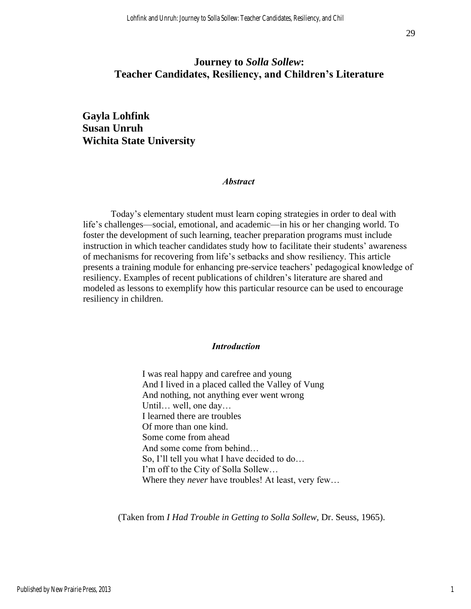## **Journey to** *Solla Sollew***: Teacher Candidates, Resiliency, and Children's Literature**

### **Gayla Lohfink Susan Unruh Wichita State University**

#### *Abstract*

Today's elementary student must learn coping strategies in order to deal with life's challenges—social, emotional, and academic—in his or her changing world. To foster the development of such learning, teacher preparation programs must include instruction in which teacher candidates study how to facilitate their students' awareness of mechanisms for recovering from life's setbacks and show resiliency. This article presents a training module for enhancing pre-service teachers' pedagogical knowledge of resiliency. Examples of recent publications of children's literature are shared and modeled as lessons to exemplify how this particular resource can be used to encourage resiliency in children.

#### *Introduction*

I was real happy and carefree and young And I lived in a placed called the Valley of Vung And nothing, not anything ever went wrong Until… well, one day… I learned there are troubles Of more than one kind. Some come from ahead And some come from behind… So, I'll tell you what I have decided to do… I'm off to the City of Solla Sollew… Where they *never* have troubles! At least, very few…

(Taken from *I Had Trouble in Getting to Solla Sollew,* Dr. Seuss, 1965).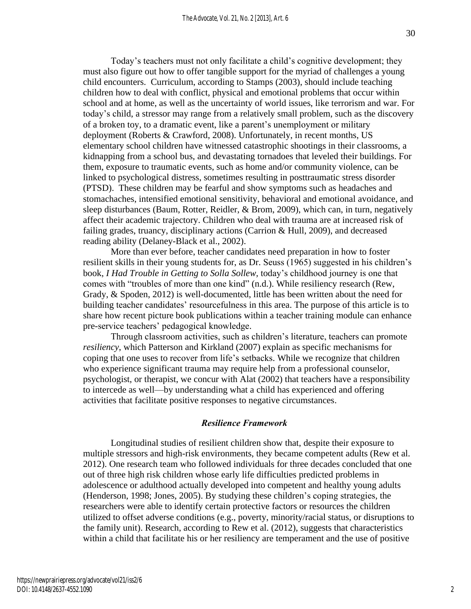Today's teachers must not only facilitate a child's cognitive development; they must also figure out how to offer tangible support for the myriad of challenges a young child encounters. Curriculum, according to Stamps (2003), should include teaching children how to deal with conflict, physical and emotional problems that occur within school and at home, as well as the uncertainty of world issues, like terrorism and war. For today's child, a stressor may range from a relatively small problem, such as the discovery of a broken toy, to a dramatic event, like a parent's unemployment or military deployment (Roberts & Crawford, 2008). Unfortunately, in recent months, US elementary school children have witnessed catastrophic shootings in their classrooms, a kidnapping from a school bus, and devastating tornadoes that leveled their buildings. For them, exposure to traumatic events, such as home and/or community violence, can be linked to psychological distress, sometimes resulting in posttraumatic stress disorder (PTSD). These children may be fearful and show symptoms such as headaches and stomachaches, intensified emotional sensitivity, behavioral and emotional avoidance, and sleep disturbances (Baum, Rotter, Reidler, & Brom, 2009), which can, in turn, negatively affect their academic trajectory. Children who deal with trauma are at increased risk of failing grades, truancy, disciplinary actions (Carrion & Hull, 2009), and decreased reading ability (Delaney-Black et al., 2002).

More than ever before, teacher candidates need preparation in how to foster resilient skills in their young students for, as Dr. Seuss (1965) suggested in his children's book, *I Had Trouble in Getting to Solla Sollew,* today's childhood journey is one that comes with "troubles of more than one kind" (n.d.). While resiliency research (Rew, Grady, & Spoden, 2012) is well-documented, little has been written about the need for building teacher candidates' resourcefulness in this area. The purpose of this article is to share how recent picture book publications within a teacher training module can enhance pre-service teachers' pedagogical knowledge.

Through classroom activities, such as children's literature, teachers can promote *resiliency*, which Patterson and Kirkland (2007) explain as specific mechanisms for coping that one uses to recover from life's setbacks. While we recognize that children who experience significant trauma may require help from a professional counselor, psychologist, or therapist, we concur with Alat (2002) that teachers have a responsibility to intercede as well—by understanding what a child has experienced and offering activities that facilitate positive responses to negative circumstances.

#### *Resilience Framework*

Longitudinal studies of resilient children show that, despite their exposure to multiple stressors and high-risk environments, they became competent adults (Rew et al. 2012). One research team who followed individuals for three decades concluded that one out of three high risk children whose early life difficulties predicted problems in adolescence or adulthood actually developed into competent and healthy young adults (Henderson, 1998; Jones, 2005). By studying these children's coping strategies, the researchers were able to identify certain protective factors or resources the children utilized to offset adverse conditions (e.g., poverty, minority/racial status, or disruptions to the family unit). Research, according to Rew et al. (2012), suggests that characteristics within a child that facilitate his or her resiliency are temperament and the use of positive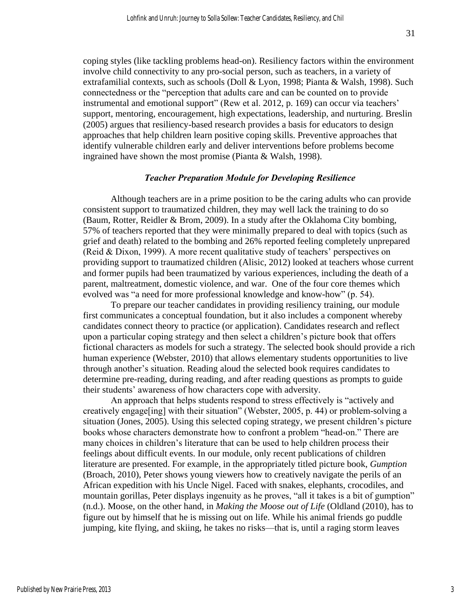coping styles (like tackling problems head-on). Resiliency factors within the environment involve child connectivity to any pro-social person, such as teachers, in a variety of extrafamilial contexts, such as schools (Doll & Lyon, 1998; Pianta & Walsh, 1998). Such connectedness or the "perception that adults care and can be counted on to provide instrumental and emotional support" (Rew et al. 2012, p. 169) can occur via teachers' support, mentoring, encouragement, high expectations, leadership, and nurturing. Breslin (2005) argues that resiliency-based research provides a basis for educators to design approaches that help children learn positive coping skills. Preventive approaches that identify vulnerable children early and deliver interventions before problems become ingrained have shown the most promise (Pianta & Walsh, 1998).

#### *Teacher Preparation Module for Developing Resilience*

Although teachers are in a prime position to be the caring adults who can provide consistent support to traumatized children, they may well lack the training to do so (Baum, Rotter, Reidler & Brom, 2009). In a study after the Oklahoma City bombing, 57% of teachers reported that they were minimally prepared to deal with topics (such as grief and death) related to the bombing and 26% reported feeling completely unprepared (Reid & Dixon, 1999). A more recent qualitative study of teachers' perspectives on providing support to traumatized children (Alisic, 2012) looked at teachers whose current and former pupils had been traumatized by various experiences, including the death of a parent, maltreatment, domestic violence, and war. One of the four core themes which evolved was "a need for more professional knowledge and know-how" (p. 54).

To prepare our teacher candidates in providing resiliency training, our module first communicates a conceptual foundation, but it also includes a component whereby candidates connect theory to practice (or application). Candidates research and reflect upon a particular coping strategy and then select a children's picture book that offers fictional characters as models for such a strategy. The selected book should provide a rich human experience (Webster, 2010) that allows elementary students opportunities to live through another's situation. Reading aloud the selected book requires candidates to determine pre-reading, during reading, and after reading questions as prompts to guide their students' awareness of how characters cope with adversity.

An approach that helps students respond to stress effectively is "actively and creatively engage[ing] with their situation" (Webster, 2005, p. 44) or problem-solving a situation (Jones, 2005). Using this selected coping strategy, we present children's picture books whose characters demonstrate how to confront a problem "head-on." There are many choices in children's literature that can be used to help children process their feelings about difficult events. In our module, only recent publications of children literature are presented. For example, in the appropriately titled picture book, *Gumption* (Broach, 2010), Peter shows young viewers how to creatively navigate the perils of an African expedition with his Uncle Nigel. Faced with snakes, elephants, crocodiles, and mountain gorillas, Peter displays ingenuity as he proves, "all it takes is a bit of gumption" (n.d.). Moose, on the other hand, in *Making the Moose out of Life* (Oldland (2010), has to figure out by himself that he is missing out on life. While his animal friends go puddle jumping, kite flying, and skiing, he takes no risks—that is, until a raging storm leaves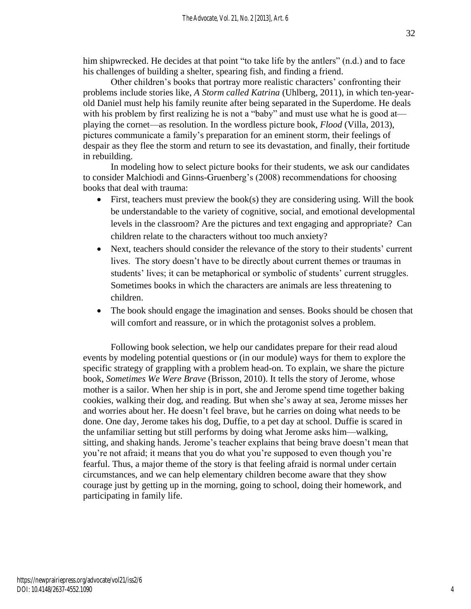him shipwrecked. He decides at that point "to take life by the antlers" (n.d.) and to face his challenges of building a shelter, spearing fish, and finding a friend.

Other children's books that portray more realistic characters' confronting their problems include stories like, *A Storm called Katrina* (Uhlberg, 2011), in which ten-yearold Daniel must help his family reunite after being separated in the Superdome. He deals with his problem by first realizing he is not a "baby" and must use what he is good at playing the cornet—as resolution. In the wordless picture book, *Flood* (Villa, 2013), pictures communicate a family's preparation for an eminent storm, their feelings of despair as they flee the storm and return to see its devastation, and finally, their fortitude in rebuilding.

In modeling how to select picture books for their students, we ask our candidates to consider Malchiodi and Ginns-Gruenberg's (2008) recommendations for choosing books that deal with trauma:

- First, teachers must preview the book(s) they are considering using. Will the book be understandable to the variety of cognitive, social, and emotional developmental levels in the classroom? Are the pictures and text engaging and appropriate? Can children relate to the characters without too much anxiety?
- Next, teachers should consider the relevance of the story to their students' current lives. The story doesn't have to be directly about current themes or traumas in students' lives; it can be metaphorical or symbolic of students' current struggles. Sometimes books in which the characters are animals are less threatening to children.
- The book should engage the imagination and senses. Books should be chosen that will comfort and reassure, or in which the protagonist solves a problem.

Following book selection, we help our candidates prepare for their read aloud events by modeling potential questions or (in our module) ways for them to explore the specific strategy of grappling with a problem head-on. To explain, we share the picture book, *Sometimes We Were Brave* (Brisson, 2010). It tells the story of Jerome, whose mother is a sailor. When her ship is in port, she and Jerome spend time together baking cookies, walking their dog, and reading. But when she's away at sea, Jerome misses her and worries about her. He doesn't feel brave, but he carries on doing what needs to be done. One day, Jerome takes his dog, Duffie, to a pet day at school. Duffie is scared in the unfamiliar setting but still performs by doing what Jerome asks him—walking, sitting, and shaking hands. Jerome's teacher explains that being brave doesn't mean that you're not afraid; it means that you do what you're supposed to even though you're fearful. Thus, a major theme of the story is that feeling afraid is normal under certain circumstances, and we can help elementary children become aware that they show courage just by getting up in the morning, going to school, doing their homework, and participating in family life.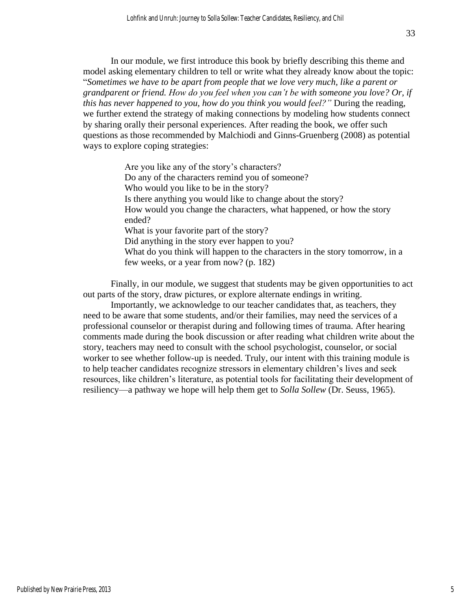In our module, we first introduce this book by briefly describing this theme and model asking elementary children to tell or write what they already know about the topic: "*Sometimes we have to be apart from people that we love very much, like a parent or grandparent or friend. How do you feel when you can't be with someone you love? Or, if this has never happened to you, how do you think you would feel?"* During the reading, we further extend the strategy of making connections by modeling how students connect by sharing orally their personal experiences. After reading the book, we offer such questions as those recommended by Malchiodi and Ginns-Gruenberg (2008) as potential ways to explore coping strategies:

> Are you like any of the story's characters? Do any of the characters remind you of someone? Who would you like to be in the story? Is there anything you would like to change about the story? How would you change the characters, what happened, or how the story ended? What is your favorite part of the story? Did anything in the story ever happen to you? What do you think will happen to the characters in the story tomorrow, in a few weeks, or a year from now? (p. 182)

Finally, in our module, we suggest that students may be given opportunities to act out parts of the story, draw pictures, or explore alternate endings in writing.

Importantly, we acknowledge to our teacher candidates that, as teachers, they need to be aware that some students, and/or their families, may need the services of a professional counselor or therapist during and following times of trauma. After hearing comments made during the book discussion or after reading what children write about the story, teachers may need to consult with the school psychologist, counselor, or social worker to see whether follow-up is needed. Truly, our intent with this training module is to help teacher candidates recognize stressors in elementary children's lives and seek resources, like children's literature, as potential tools for facilitating their development of resiliency—a pathway we hope will help them get to *Solla Sollew* (Dr. Seuss, 1965).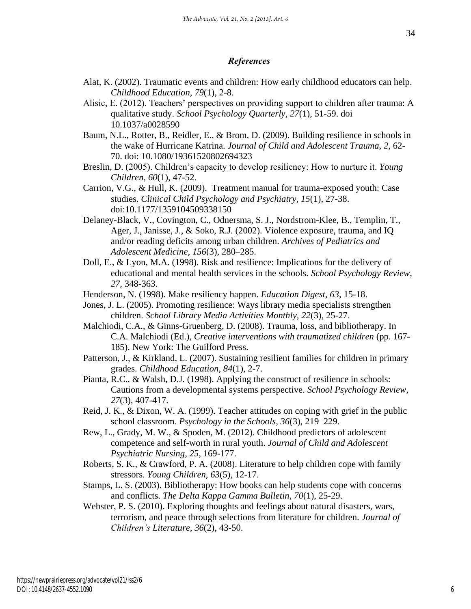#### *References*

- Alat, K. (2002). Traumatic events and children: How early childhood educators can help. *Childhood Education, 79*(1), 2-8.
- Alisic, E. (2012). Teachers' perspectives on providing support to children after trauma: A qualitative study. *School Psychology Quarterly, 27*(1), 51-59. doi 10.1037/a0028590
- Baum, N.L., Rotter, B., Reidler, E., & Brom, D. (2009). Building resilience in schools in the wake of Hurricane Katrina. *Journal of Child and Adolescent Trauma, 2*, 62- 70. doi: 10.1080/19361520802694323
- Breslin, D. (2005). Children's capacity to develop resiliency: How to nurture it. *Young Children, 60*(1), 47-52.
- Carrion, V.G., & Hull, K. (2009). Treatment manual for trauma-exposed youth: Case studies. *Clinical Child Psychology and Psychiatry, 15*(1), 27-38. doi:10.1177/1359104509338150
- Delaney-Black, V., Covington, C., Odnersma, S. J., Nordstrom-Klee, B., Templin, T., Ager, J., Janisse, J., & Soko, R.J. (2002). Violence exposure, trauma, and IQ and/or reading deficits among urban children. *Archives of Pediatrics and Adolescent Medicine, 156*(3)*,* 280–285.
- Doll, E., & Lyon, M.A. (1998). Risk and resilience: Implications for the delivery of educational and mental health services in the schools. *School Psychology Review, 27*, 348-363.
- Henderson, N. (1998). Make resiliency happen. *Education Digest, 63*, 15-18.
- Jones, J. L. (2005). Promoting resilience: Ways library media specialists strengthen children. *School Library Media Activities Monthly, 22*(3), 25-27.
- Malchiodi, C.A., & Ginns-Gruenberg, D. (2008). Trauma, loss, and bibliotherapy. In C.A. Malchiodi (Ed.), *Creative interventions with traumatized children* (pp. 167-185). New York: The Guilford Press.
- Patterson, J., & Kirkland, L. (2007). Sustaining resilient families for children in primary grades. *Childhood Education*, *84*(1), 2-7.
- Pianta, R.C., & Walsh, D.J. (1998). Applying the construct of resilience in schools: Cautions from a developmental systems perspective. *School Psychology Review, 27*(3), 407-417.
- Reid, J. K., & Dixon, W. A. (1999). Teacher attitudes on coping with grief in the public school classroom. *Psychology in the Schools, 36*(3), 219–229.
- Rew, L., Grady, M. W., & Spoden, M. (2012). Childhood predictors of adolescent competence and self-worth in rural youth. *Journal of Child and Adolescent Psychiatric Nursing, 25,* 169-177.
- Roberts, S. K., & Crawford, P. A. (2008). Literature to help children cope with family stressors. *Young Children, 63*(5), 12-17.
- Stamps, L. S. (2003). Bibliotherapy: How books can help students cope with concerns and conflicts. *The Delta Kappa Gamma Bulletin, 70*(1), 25-29.
- Webster, P. S. (2010). Exploring thoughts and feelings about natural disasters, wars, terrorism, and peace through selections from literature for children. *Journal of Children's Literature, 36*(2), 43-50.